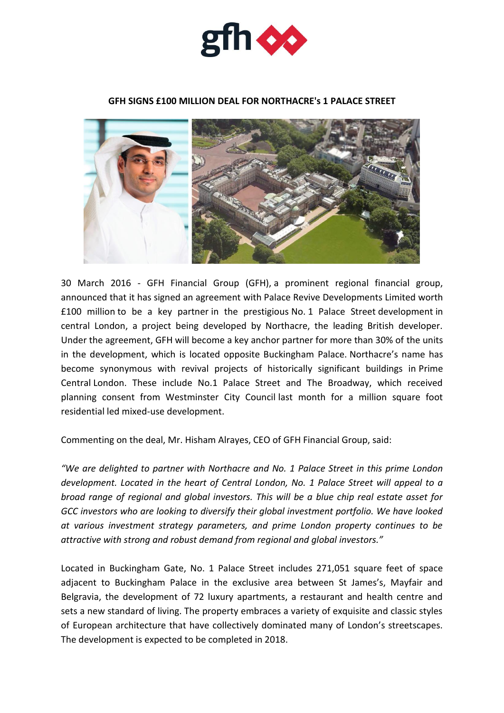

## **GFH SIGNS £100 MILLION DEAL FOR NORTHACRE's 1 PALACE STREET**



03 March 2016 - GFH Financial Group (GFH), a prominent regional financial group, announced that it has signed an agreement with Palace Revive Developments Limited worth £100 million to be a key partner in the prestigious No. 1 Palace Street development in central London, a project being developed by Northacre, the leading British developer. Under the agreement, GFH will become a key anchor partner for more than 30% of the units in the development, which is located opposite Buckingham Palace. Northacre's name has become synonymous with revival projects of historically significant buildings in Prime Central London. These include No.1 Palace Street and The Broadway, which received planning consent from Westminster City Council last month for a million square foot residential led mixed-use development.

Commenting on the deal, Mr. Hisham Alrayes, CEO of GFH Financial Group, said:

*"We are delighted to partner with Northacre and No. 1 Palace Street in this prime London development. Located in the heart of Central London, No. 1 Palace Street will appeal to a broad range of regional and global investors. This will be a blue chip real estate asset for GCC investors who are looking to diversify their global investment portfolio. We have looked at various investment strategy parameters, and prime London property continues to be attractive with strong and robust demand from regional and global investors."*

Located in Buckingham Gate, No. 1 Palace Street includes 271,051 square feet of space adjacent to Buckingham Palace in the exclusive area between St James's, Mayfair and Belgravia, the development of 72 luxury apartments, a restaurant and health centre and sets a new standard of living. The property embraces a variety of exquisite and classic styles of European architecture that have collectively dominated many of London's streetscapes. The development is expected to be completed in 2018.